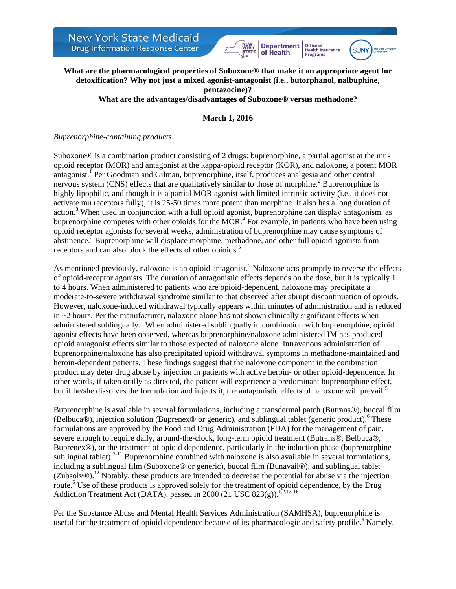



### **What are the pharmacological properties of Suboxone® that make it an appropriate agent for detoxification? Why not just a mixed agonist-antagonist (i.e., butorphanol, nalbuphine, pentazocine)? What are the advantages/disadvantages of Suboxone® versus methadone?**

## **March 1, 2016**

#### *Buprenorphine-containing products*

Suboxone® is a combination product consisting of 2 drugs: buprenorphine, a partial agonist at the muopioid receptor (MOR) and antagonist at the kappa-opioid receptor (KOR), and naloxone, a potent MOR antagonist.<sup>1</sup> Per Goodman and Gilman, buprenorphine, itself, produces analgesia and other central nervous system (CNS) effects that are qualitatively similar to those of morphine.<sup>2</sup> Buprenorphine is highly lipophilic, and though it is a partial MOR agonist with limited intrinsic activity (i.e., it does not activate mu receptors fully), it is 25-50 times more potent than morphine. It also has a long duration of action.<sup>3</sup> When used in conjunction with a full opioid agonist, buprenorphine can display antagonism, as buprenorphine competes with other opioids for the  $MOR<sup>4</sup>$  For example, in patients who have been using opioid receptor agonists for several weeks, administration of buprenorphine may cause symptoms of abstinence.<sup>2</sup> Buprenorphine will displace morphine, methadone, and other full opioid agonists from receptors and can also block the effects of other opioids.<sup>5</sup>

As mentioned previously, naloxone is an opioid antagonist.<sup>2</sup> Naloxone acts promptly to reverse the effects of opioid-receptor agonists. The duration of antagonistic effects depends on the dose, but it is typically 1 to 4 hours. When administered to patients who are opioid-dependent, naloxone may precipitate a moderate-to-severe withdrawal syndrome similar to that observed after abrupt discontinuation of opioids. However, naloxone-induced withdrawal typically appears within minutes of administration and is reduced in ~2 hours. Per the manufacturer, naloxone alone has not shown clinically significant effects when administered sublingually.<sup>1</sup> When administered sublingually in combination with buprenorphine, opioid agonist effects have been observed, whereas buprenorphine/naloxone administered IM has produced opioid antagonist effects similar to those expected of naloxone alone. Intravenous administration of buprenorphine/naloxone has also precipitated opioid withdrawal symptoms in methadone-maintained and heroin-dependent patients. These findings suggest that the naloxone component in the combination product may deter drug abuse by injection in patients with active heroin- or other opioid-dependence. In other words, if taken orally as directed, the patient will experience a predominant buprenorphine effect, but if he/she dissolves the formulation and injects it, the antagonistic effects of naloxone will prevail.<sup>5</sup>

Buprenorphine is available in several formulations, including a transdermal patch (Butrans®), buccal film (Belbuca®), injection solution (Buprenex® or generic), and sublingual tablet (generic product). <sup>6</sup> These formulations are approved by the Food and Drug Administration (FDA) for the management of pain, severe enough to require daily, around-the-clock, long-term opioid treatment (Butrans®, Belbuca®, Buprenex®), or the treatment of opioid dependence, particularly in the induction phase (buprenorphine sublingual tablet).<sup>7-11</sup> Buprenorphine combined with naloxone is also available in several formulations, including a sublingual film (Suboxone® or generic), buccal film (Bunavail®), and sublingual tablet (Zubsolv®).<sup>12</sup> Notably, these products are intended to decrease the potential for abuse via the injection route.<sup>5</sup> Use of these products is approved solely for the treatment of opioid dependence, by the Drug Addiction Treatment Act (DATA), passed in 2000 (21 USC 823(g)).<sup>1,2,13-16</sup>

Per the Substance Abuse and Mental Health Services Administration (SAMHSA), buprenorphine is useful for the treatment of opioid dependence because of its pharmacologic and safety profile.<sup>5</sup> Namely,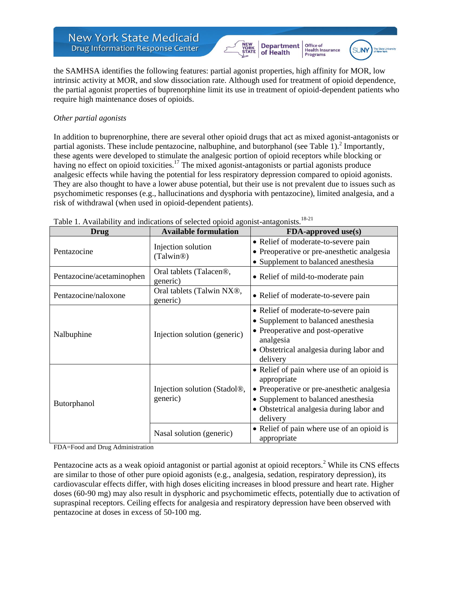



Office of<br>Health Insurance

Programs

the SAMHSA identifies the following features: partial agonist properties, high affinity for MOR, low intrinsic activity at MOR, and slow dissociation rate. Although used for treatment of opioid dependence, the partial agonist properties of buprenorphine limit its use in treatment of opioid-dependent patients who require high maintenance doses of opioids.

## *Other partial agonists*

In addition to buprenorphine, there are several other opioid drugs that act as mixed agonist-antagonists or partial agonists. These include pentazocine, nalbuphine, and butorphanol (see Table 1).<sup>2</sup> Importantly, these agents were developed to stimulate the analgesic portion of opioid receptors while blocking or having no effect on opioid toxicities.<sup>17</sup> The mixed agonist-antagonists or partial agonists produce analgesic effects while having the potential for less respiratory depression compared to opioid agonists. They are also thought to have a lower abuse potential, but their use is not prevalent due to issues such as psychomimetic responses (e.g., hallucinations and dysphoria with pentazocine), limited analgesia, and a risk of withdrawal (when used in opioid-dependent patients).

| <b>Drug</b>               | <b>Available formulation</b>                     | FDA-approved use(s)                                                                                                                                                                                    |
|---------------------------|--------------------------------------------------|--------------------------------------------------------------------------------------------------------------------------------------------------------------------------------------------------------|
| Pentazocine               | Injection solution<br>(Talwin <sup>®)</sup>      | • Relief of moderate-to-severe pain<br>• Preoperative or pre-anesthetic analgesia<br>• Supplement to balanced anesthesia                                                                               |
| Pentazocine/acetaminophen | Oral tablets (Talacen <sup>®</sup> ,<br>generic) | • Relief of mild-to-moderate pain                                                                                                                                                                      |
| Pentazocine/naloxone      | Oral tablets (Talwin NX®,<br>generic)            | • Relief of moderate-to-severe pain                                                                                                                                                                    |
| Nalbuphine                | Injection solution (generic)                     | • Relief of moderate-to-severe pain<br>• Supplement to balanced anesthesia<br>• Preoperative and post-operative<br>analgesia<br>• Obstetrical analgesia during labor and<br>delivery                   |
| Butorphanol               | Injection solution (Stadol®,<br>generic)         | • Relief of pain where use of an opioid is<br>appropriate<br>• Preoperative or pre-anesthetic analgesia<br>• Supplement to balanced anesthesia<br>• Obstetrical analgesia during labor and<br>delivery |
|                           | Nasal solution (generic)                         | • Relief of pain where use of an opioid is<br>appropriate                                                                                                                                              |

|  | Table 1. Availability and indications of selected opioid agonist-antagonists. <sup>18-21</sup> |  |  |
|--|------------------------------------------------------------------------------------------------|--|--|
|  |                                                                                                |  |  |

FDA=Food and Drug Administration

Pentazocine acts as a weak opioid antagonist or partial agonist at opioid receptors.<sup>2</sup> While its CNS effects are similar to those of other pure opioid agonists (e.g., analgesia, sedation, respiratory depression), its cardiovascular effects differ, with high doses eliciting increases in blood pressure and heart rate. Higher doses (60-90 mg) may also result in dysphoric and psychomimetic effects, potentially due to activation of supraspinal receptors. Ceiling effects for analgesia and respiratory depression have been observed with pentazocine at doses in excess of 50-100 mg.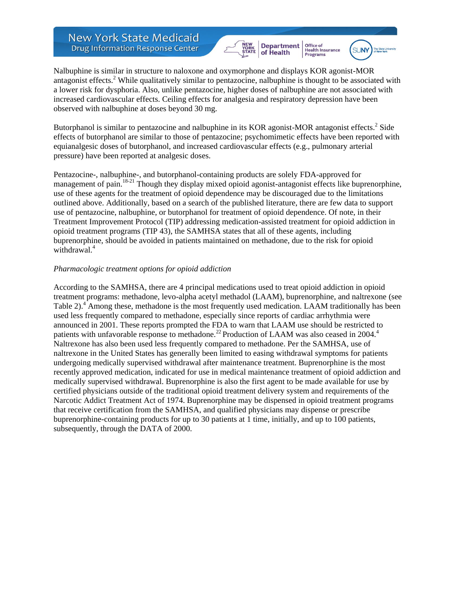NEW<br>YORK<br>STATE **Department**<br>of Health Office of<br>Health Insurance **Programs** 



Nalbuphine is similar in structure to naloxone and oxymorphone and displays KOR agonist-MOR antagonist effects.<sup>2</sup> While qualitatively similar to pentazocine, nalbuphine is thought to be associated with a lower risk for dysphoria. Also, unlike pentazocine, higher doses of nalbuphine are not associated with increased cardiovascular effects. Ceiling effects for analgesia and respiratory depression have been observed with nalbuphine at doses beyond 30 mg.

Butorphanol is similar to pentazocine and nalbuphine in its KOR agonist-MOR antagonist effects.<sup>2</sup> Side effects of butorphanol are similar to those of pentazocine; psychomimetic effects have been reported with equianalgesic doses of butorphanol, and increased cardiovascular effects (e.g., pulmonary arterial pressure) have been reported at analgesic doses.

Pentazocine-, nalbuphine-, and butorphanol-containing products are solely FDA-approved for management of pain.<sup>18-21</sup> Though they display mixed opioid agonist-antagonist effects like buprenorphine, use of these agents for the treatment of opioid dependence may be discouraged due to the limitations outlined above. Additionally, based on a search of the published literature, there are few data to support use of pentazocine, nalbuphine, or butorphanol for treatment of opioid dependence. Of note, in their Treatment Improvement Protocol (TIP) addressing medication-assisted treatment for opioid addiction in opioid treatment programs (TIP 43), the SAMHSA states that all of these agents, including buprenorphine, should be avoided in patients maintained on methadone, due to the risk for opioid withdrawal.<sup>4</sup>

#### *Pharmacologic treatment options for opioid addiction*

According to the SAMHSA, there are 4 principal medications used to treat opioid addiction in opioid treatment programs: methadone, levo-alpha acetyl methadol (LAAM), buprenorphine, and naltrexone (see Table 2).<sup>4</sup> Among these, methadone is the most frequently used medication. LAAM traditionally has been used less frequently compared to methadone, especially since reports of cardiac arrhythmia were announced in 2001. These reports prompted the FDA to warn that LAAM use should be restricted to patients with unfavorable response to methadone.<sup>22</sup> Production of LAAM was also ceased in 2004.<sup>4</sup> Naltrexone has also been used less frequently compared to methadone. Per the SAMHSA, use of naltrexone in the United States has generally been limited to easing withdrawal symptoms for patients undergoing medically supervised withdrawal after maintenance treatment. Buprenorphine is the most recently approved medication, indicated for use in medical maintenance treatment of opioid addiction and medically supervised withdrawal. Buprenorphine is also the first agent to be made available for use by certified physicians outside of the traditional opioid treatment delivery system and requirements of the Narcotic Addict Treatment Act of 1974. Buprenorphine may be dispensed in opioid treatment programs that receive certification from the SAMHSA, and qualified physicians may dispense or prescribe buprenorphine-containing products for up to 30 patients at 1 time, initially, and up to 100 patients, subsequently, through the DATA of 2000.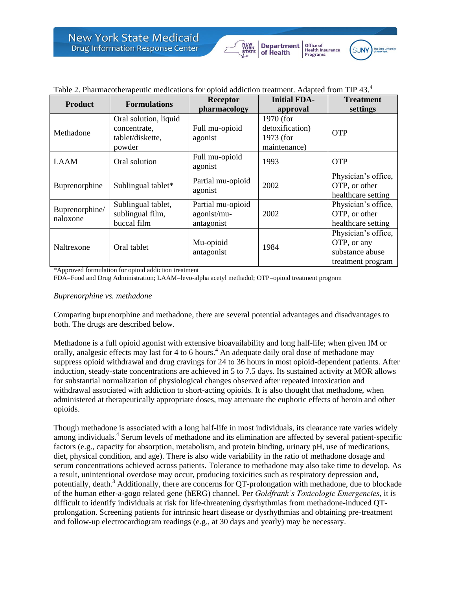



|  | Table 2. Pharmacotherapeutic medications for opioid addiction treatment. Adapted from TIP 43. <sup>4</sup> |  |  |  |  |
|--|------------------------------------------------------------------------------------------------------------|--|--|--|--|
|--|------------------------------------------------------------------------------------------------------------|--|--|--|--|

| <b>Product</b>             | <b>Formulations</b>                                                 | <b>Receptor</b><br>pharmacology                | <b>Initial FDA-</b><br>approval                           | <b>Treatment</b><br>settings                                               |
|----------------------------|---------------------------------------------------------------------|------------------------------------------------|-----------------------------------------------------------|----------------------------------------------------------------------------|
| Methadone                  | Oral solution, liquid<br>concentrate,<br>tablet/diskette,<br>powder | Full mu-opioid<br>agonist                      | 1970 (for<br>detoxification)<br>1973 (for<br>maintenance) | <b>OTP</b>                                                                 |
| LAAM                       | Oral solution                                                       | Full mu-opioid<br>agonist                      | 1993                                                      | <b>OTP</b>                                                                 |
| Buprenorphine              | Sublingual tablet*                                                  | Partial mu-opioid<br>agonist                   | 2002                                                      | Physician's office,<br>OTP, or other<br>healthcare setting                 |
| Buprenorphine/<br>naloxone | Sublingual tablet,<br>sublingual film,<br>buccal film               | Partial mu-opioid<br>agonist/mu-<br>antagonist | 2002                                                      | Physician's office,<br>OTP, or other<br>healthcare setting                 |
| Naltrexone                 | Oral tablet                                                         | Mu-opioid<br>antagonist                        | 1984                                                      | Physician's office,<br>OTP, or any<br>substance abuse<br>treatment program |

\*Approved formulation for opioid addiction treatment

FDA=Food and Drug Administration; LAAM=levo-alpha acetyl methadol; OTP=opioid treatment program

### *Buprenorphine vs. methadone*

Comparing buprenorphine and methadone, there are several potential advantages and disadvantages to both. The drugs are described below.

Methadone is a full opioid agonist with extensive bioavailability and long half-life; when given IM or orally, analgesic effects may last for 4 to 6 hours. <sup>4</sup> An adequate daily oral dose of methadone may suppress opioid withdrawal and drug cravings for 24 to 36 hours in most opioid-dependent patients. After induction, steady-state concentrations are achieved in 5 to 7.5 days. Its sustained activity at MOR allows for substantial normalization of physiological changes observed after repeated intoxication and withdrawal associated with addiction to short-acting opioids. It is also thought that methadone, when administered at therapeutically appropriate doses, may attenuate the euphoric effects of heroin and other opioids.

Though methadone is associated with a long half-life in most individuals, its clearance rate varies widely among individuals.<sup>4</sup> Serum levels of methadone and its elimination are affected by several patient-specific factors (e.g., capacity for absorption, metabolism, and protein binding, urinary pH, use of medications, diet, physical condition, and age). There is also wide variability in the ratio of methadone dosage and serum concentrations achieved across patients. Tolerance to methadone may also take time to develop. As a result, unintentional overdose may occur, producing toxicities such as respiratory depression and, potentially, death.<sup>3</sup> Additionally, there are concerns for QT-prolongation with methadone, due to blockade of the human ether-a-gogo related gene (hERG) channel. Per *Goldfrank's Toxicologic Emergencies*, it is difficult to identify individuals at risk for life-threatening dysrhythmias from methadone-induced QTprolongation. Screening patients for intrinsic heart disease or dysrhythmias and obtaining pre-treatment and follow-up electrocardiogram readings (e.g., at 30 days and yearly) may be necessary.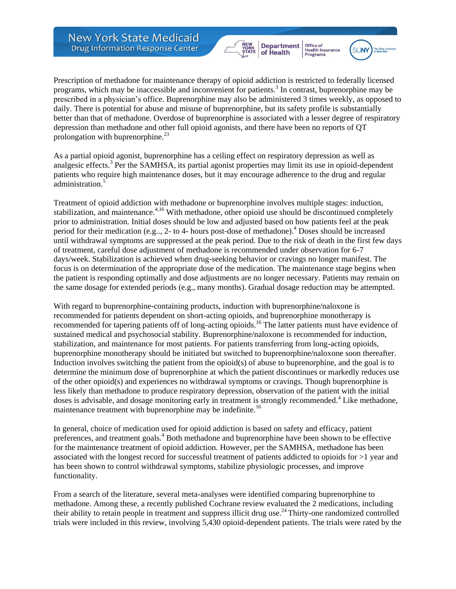**Department**<br>of Health Office of<br>Health Insurance NEW<br>YORK<br>STATE Programs



Prescription of methadone for maintenance therapy of opioid addiction is restricted to federally licensed programs, which may be inaccessible and inconvenient for patients.<sup>3</sup> In contrast, buprenorphine may be prescribed in a physician's office. Buprenorphine may also be administered 3 times weekly, as opposed to daily. There is potential for abuse and misuse of buprenorphine, but its safety profile is substantially better than that of methadone. Overdose of buprenorphine is associated with a lesser degree of respiratory depression than methadone and other full opioid agonists, and there have been no reports of QT prolongation with buprenorphine. $^{23}$ 

As a partial opioid agonist, buprenorphine has a ceiling effect on respiratory depression as well as analgesic effects.<sup>3</sup> Per the SAMHSA, its partial agonist properties may limit its use in opioid-dependent patients who require high maintenance doses, but it may encourage adherence to the drug and regular administration.<sup>5</sup>

Treatment of opioid addiction with methadone or buprenorphine involves multiple stages: induction, stabilization, and maintenance.<sup>4,16</sup> With methadone, other opioid use should be discontinued completely prior to administration. Initial doses should be low and adjusted based on how patients feel at the peak period for their medication (e.g.., 2- to 4- hours post-dose of methadone).<sup>4</sup> Doses should be increased until withdrawal symptoms are suppressed at the peak period. Due to the risk of death in the first few days of treatment, careful dose adjustment of methadone is recommended under observation for 6-7 days/week. Stabilization is achieved when drug-seeking behavior or cravings no longer manifest. The focus is on determination of the appropriate dose of the medication. The maintenance stage begins when the patient is responding optimally and dose adjustments are no longer necessary. Patients may remain on the same dosage for extended periods (e.g., many months). Gradual dosage reduction may be attempted.

With regard to buprenorphine-containing products, induction with buprenorphine/naloxone is recommended for patients dependent on short-acting opioids, and buprenorphine monotherapy is recommended for tapering patients off of long-acting opioids.<sup>16</sup> The latter patients must have evidence of sustained medical and psychosocial stability. Buprenorphine/naloxone is recommended for induction, stabilization, and maintenance for most patients. For patients transferring from long-acting opioids, buprenorphine monotherapy should be initiated but switched to buprenorphine/naloxone soon thereafter. Induction involves switching the patient from the opioid(s) of abuse to buprenorphine, and the goal is to determine the minimum dose of buprenorphine at which the patient discontinues or markedly reduces use of the other opioid(s) and experiences no withdrawal symptoms or cravings. Though buprenorphine is less likely than methadone to produce respiratory depression, observation of the patient with the initial doses is advisable, and dosage monitoring early in treatment is strongly recommended.<sup>4</sup> Like methadone, maintenance treatment with buprenorphine may be indefinite.<sup>16</sup>

In general, choice of medication used for opioid addiction is based on safety and efficacy, patient preferences, and treatment goals.<sup>4</sup> Both methadone and buprenorphine have been shown to be effective for the maintenance treatment of opioid addiction. However, per the SAMHSA, methadone has been associated with the longest record for successful treatment of patients addicted to opioids for >1 year and has been shown to control withdrawal symptoms, stabilize physiologic processes, and improve functionality.

From a search of the literature, several meta-analyses were identified comparing buprenorphine to methadone. Among these, a recently published Cochrane review evaluated the 2 medications, including their ability to retain people in treatment and suppress illicit drug use.<sup>24</sup> Thirty-one randomized controlled trials were included in this review, involving 5,430 opioid-dependent patients. The trials were rated by the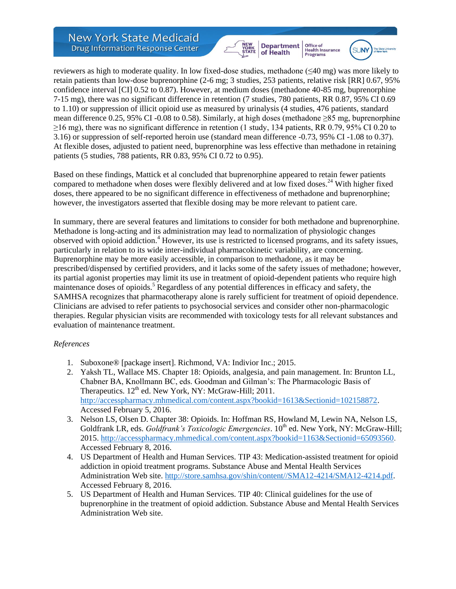



reviewers as high to moderate quality. In low fixed-dose studies, methadone (≤40 mg) was more likely to retain patients than low-dose buprenorphine (2-6 mg; 3 studies, 253 patients, relative risk [RR] 0.67, 95% confidence interval [CI] 0.52 to 0.87). However, at medium doses (methadone 40-85 mg, buprenorphine 7-15 mg), there was no significant difference in retention (7 studies, 780 patients, RR 0.87, 95% CI 0.69 to 1.10) or suppression of illicit opioid use as measured by urinalysis (4 studies, 476 patients, standard mean difference 0.25, 95% CI -0.08 to 0.58). Similarly, at high doses (methadone ≥85 mg, buprenorphine ≥16 mg), there was no significant difference in retention (1 study, 134 patients, RR 0.79, 95% CI 0.20 to 3.16) or suppression of self-reported heroin use (standard mean difference -0.73, 95% CI -1.08 to 0.37). At flexible doses, adjusted to patient need, buprenorphine was less effective than methadone in retaining patients (5 studies, 788 patients, RR 0.83, 95% CI 0.72 to 0.95).

Based on these findings, Mattick et al concluded that buprenorphine appeared to retain fewer patients compared to methadone when doses were flexibly delivered and at low fixed doses.<sup>24</sup> With higher fixed doses, there appeared to be no significant difference in effectiveness of methadone and buprenorphine; however, the investigators asserted that flexible dosing may be more relevant to patient care.

In summary, there are several features and limitations to consider for both methadone and buprenorphine. Methadone is long-acting and its administration may lead to normalization of physiologic changes observed with opioid addiction.<sup>4</sup> However, its use is restricted to licensed programs, and its safety issues, particularly in relation to its wide inter-individual pharmacokinetic variability, are concerning. Buprenorphine may be more easily accessible, in comparison to methadone, as it may be prescribed/dispensed by certified providers, and it lacks some of the safety issues of methadone; however, its partial agonist properties may limit its use in treatment of opioid-dependent patients who require high maintenance doses of opioids.<sup>5</sup> Regardless of any potential differences in efficacy and safety, the SAMHSA recognizes that pharmacotherapy alone is rarely sufficient for treatment of opioid dependence. Clinicians are advised to refer patients to psychosocial services and consider other non-pharmacologic therapies. Regular physician visits are recommended with toxicology tests for all relevant substances and evaluation of maintenance treatment.

### *References*

- 1. Suboxone® [package insert]. Richmond, VA: Indivior Inc.; 2015.
- 2. Yaksh TL, Wallace MS. Chapter 18: Opioids, analgesia, and pain management. In: Brunton LL, Chabner BA, Knollmann BC, eds. Goodman and Gilman's: The Pharmacologic Basis of Therapeutics.  $12<sup>th</sup>$  ed. New York, NY: McGraw-Hill; 2011. [http://accesspharmacy.mhmedical.com/content.aspx?bookid=1613&Sectionid=102158872.](http://accesspharmacy.mhmedical.com/content.aspx?bookid=1613&Sectionid=102158872) Accessed February 5, 2016.
- 3. Nelson LS, Olsen D. Chapter 38: Opioids. In: Hoffman RS, Howland M, Lewin NA, Nelson LS, Goldfrank LR, eds. *Goldfrank's Toxicologic Emergencies*. 10<sup>th</sup> ed. New York, NY: McGraw-Hill; 2015. [http://accesspharmacy.mhmedical.com/content.aspx?bookid=1163&Sectionid=65093560.](http://accesspharmacy.mhmedical.com/content.aspx?bookid=1163&Sectionid=65093560) Accessed February 8, 2016.
- 4. US Department of Health and Human Services. TIP 43: Medication-assisted treatment for opioid addiction in opioid treatment programs. Substance Abuse and Mental Health Services Administration Web site. [http://store.samhsa.gov/shin/content//SMA12-4214/SMA12-4214.pdf.](http://store.samhsa.gov/shin/content/SMA12-4214/SMA12-4214.pdf) Accessed February 8, 2016.
- 5. US Department of Health and Human Services. TIP 40: Clinical guidelines for the use of buprenorphine in the treatment of opioid addiction. Substance Abuse and Mental Health Services Administration Web site.